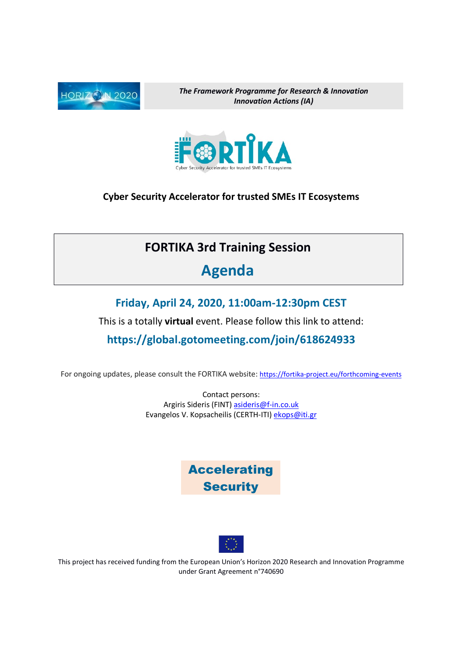

The Framework Programme for Research & Innovation Innovation Actions (IA)



Cyber Security Accelerator for trusted SMEs IT Ecosystems

## FORTIKA 3rd Training Session

## Agenda

#### Friday, April 24, 2020, 11:00am-12:30pm CEST

This is a totally virtual event. Please follow this link to attend:

#### https://global.gotomeeting.com/join/618624933

For ongoing updates, please consult the FORTIKA website: https://fortika-project.eu/forthcoming-events

Contact persons: Argiris Sideris (FINT) asideris@f-in.co.uk Evangelos V. Kopsacheilis (CERTH-ITI) ekops@iti.gr





This project has received funding from the European Union's Horizon 2020 Research and Innovation Programme under Grant Agreement n°740690